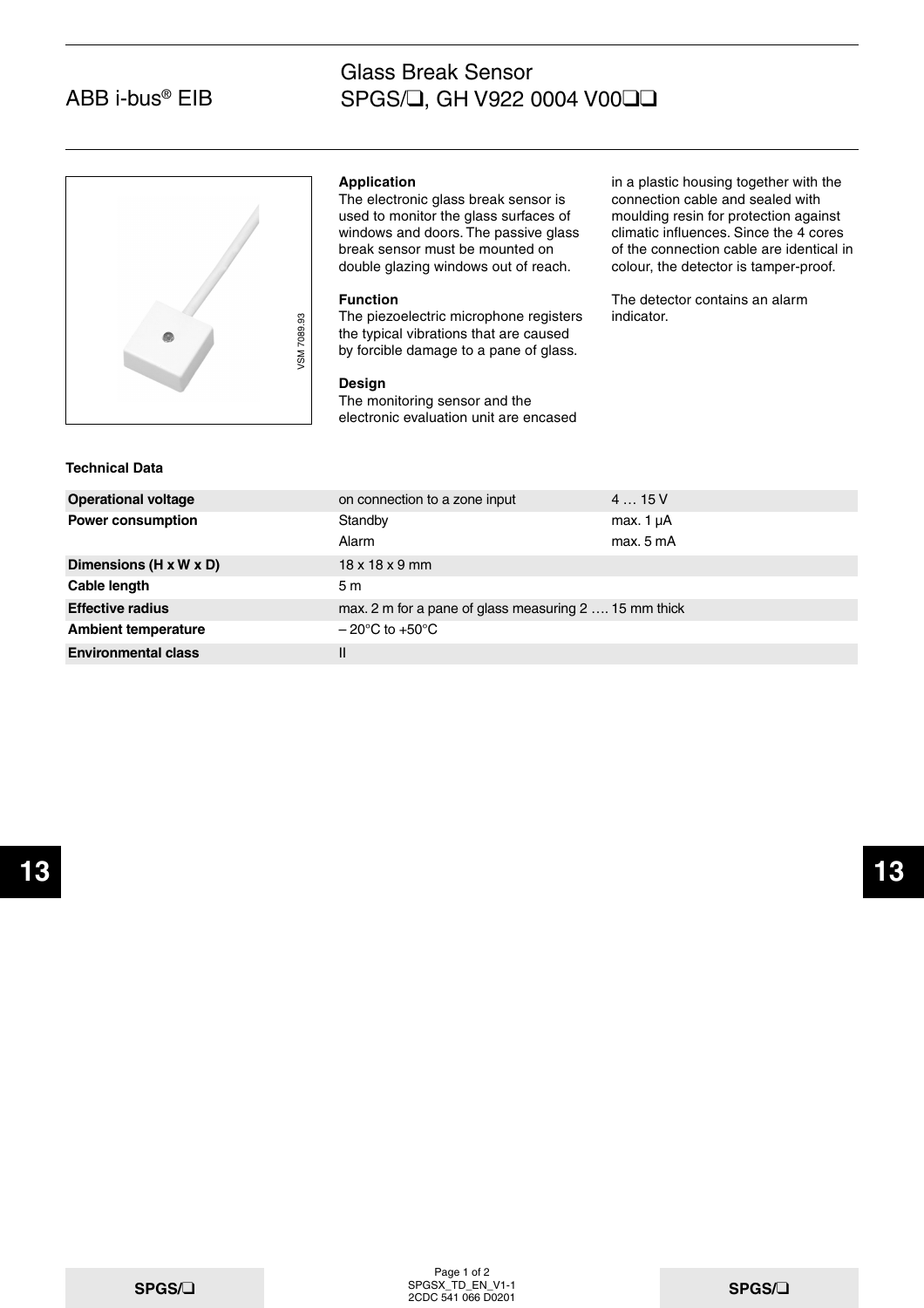# ABB i-bus® EIB

## Glass Break Sensor SPGS/❑, GH V922 0004 V00❑❑



### **Application**

The electronic glass break sensor is used to monitor the glass surfaces of windows and doors. The passive glass break sensor must be mounted on double glazing windows out of reach.

## **Function**

The piezoelectric microphone registers the typical vibrations that are caused by forcible damage to a pane of glass.

### **Design**

in a plastic housing together with the connection cable and sealed with moulding resin for protection against climatic influences. Since the 4 cores of the connection cable are identical in colour, the detector is tamper-proof.

The detector contains an alarm indicator.

| <b>Technical Data</b> |
|-----------------------|
|-----------------------|

| <b>Technical Data</b>      | VSM 7089.93<br>The piezoelectric microphone registers<br>the typical vibrations that are caused<br>by forcible damage to a pane of glass.<br><b>Design</b><br>The monitoring sensor and the<br>electronic evaluation unit are encased | indicator.                  |
|----------------------------|---------------------------------------------------------------------------------------------------------------------------------------------------------------------------------------------------------------------------------------|-----------------------------|
| <b>Operational voltage</b> | on connection to a zone input                                                                                                                                                                                                         | 415V                        |
| <b>Power consumption</b>   | Standby<br>Alarm                                                                                                                                                                                                                      | max. $1 \mu A$<br>max. 5 mA |
| Dimensions (H x W x D)     | $18 \times 18 \times 9$ mm                                                                                                                                                                                                            |                             |
| Cable length               | 5 m                                                                                                                                                                                                                                   |                             |
| <b>Effective radius</b>    | max. 2 m for a pane of glass measuring 2  15 mm thick                                                                                                                                                                                 |                             |
| <b>Ambient temperature</b> | $-20^{\circ}$ C to $+50^{\circ}$ C                                                                                                                                                                                                    |                             |
| <b>Environmental class</b> | $\mathbf{I}$                                                                                                                                                                                                                          |                             |
|                            |                                                                                                                                                                                                                                       |                             |